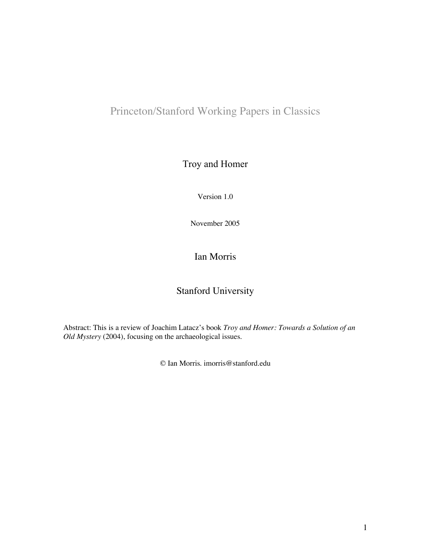# Princeton/Stanford Working Papers in Classics

### Troy and Homer

Version 1.0

November 2005

### Ian Morris

## Stanford University

Abstract: This is a review of Joachim Latacz's book *Troy and Homer: Towards a Solution of an Old Mystery* (2004), focusing on the archaeological issues.

© Ian Morris. imorris@stanford.edu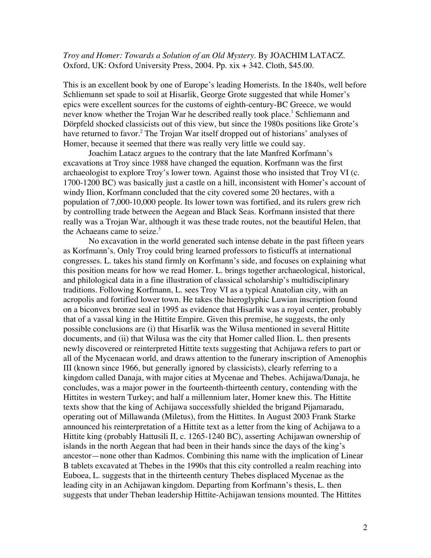#### *Troy and Homer: Towards a Solution of an Old Mystery*. By JOACHIM LATACZ. Oxford, UK: Oxford University Press, 2004. Pp. xix + 342. Cloth, \$45.00.

This is an excellent book by one of Europe's leading Homerists. In the 1840s, well before Schliemann set spade to soil at Hisarlik, George Grote suggested that while Homer's epics were excellent sources for the customs of eighth-century-BC Greece, we would never know whether the Trojan War he described really took place.<sup>1</sup> Schliemann and Dörpfeld shocked classicists out of this view, but since the 1980s positions like Grote's have returned to favor.<sup>2</sup> The Trojan War itself dropped out of historians' analyses of Homer, because it seemed that there was really very little we could say.

Joachim Latacz argues to the contrary that the late Manfred Korfmann's excavations at Troy since 1988 have changed the equation. Korfmann was the first archaeologist to explore Troy's lower town. Against those who insisted that Troy VI (c. 1700-1200 BC) was basically just a castle on a hill, inconsistent with Homer's account of windy Ilion, Korfmann concluded that the city covered some 20 hectares, with a population of 7,000-10,000 people. Its lower town was fortified, and its rulers grew rich by controlling trade between the Aegean and Black Seas. Korfmann insisted that there really was a Trojan War, although it was these trade routes, not the beautiful Helen, that the Achaeans came to seize. $3$ 

No excavation in the world generated such intense debate in the past fifteen years as Korfmann's. Only Troy could bring learned professors to fisticuffs at international congresses. L. takes his stand firmly on Korfmann's side, and focuses on explaining what this position means for how we read Homer. L. brings together archaeological, historical, and philological data in a fine illustration of classical scholarship's multidisciplinary traditions. Following Korfmann, L. sees Troy VI as a typical Anatolian city, with an acropolis and fortified lower town. He takes the hieroglyphic Luwian inscription found on a biconvex bronze seal in 1995 as evidence that Hisarlik was a royal center, probably that of a vassal king in the Hittite Empire. Given this premise, he suggests, the only possible conclusions are (i) that Hisarlik was the Wilusa mentioned in several Hittite documents, and (ii) that Wilusa was the city that Homer called Ilion. L. then presents newly discovered or reinterpreted Hittite texts suggesting that Achijawa refers to part or all of the Mycenaean world, and draws attention to the funerary inscription of Amenophis III (known since 1966, but generally ignored by classicists), clearly referring to a kingdom called Danaja, with major cities at Mycenae and Thebes. Achijawa/Danaja, he concludes, was a major power in the fourteenth-thirteenth century, contending with the Hittites in western Turkey; and half a millennium later, Homer knew this. The Hittite texts show that the king of Achijawa successfully shielded the brigand Pijamaradu, operating out of Millawanda (Miletus), from the Hittites. In August 2003 Frank Starke announced his reinterpretation of a Hittite text as a letter from the king of Achijawa to a Hittite king (probably Hattusili II, c. 1265-1240 BC), asserting Achijawan ownership of islands in the north Aegean that had been in their hands since the days of the king's ancestor—none other than Kadmos. Combining this name with the implication of Linear B tablets excavated at Thebes in the 1990s that this city controlled a realm reaching into Euboea, L. suggests that in the thirteenth century Thebes displaced Mycenae as the leading city in an Achijawan kingdom. Departing from Korfmann's thesis, L. then suggests that under Theban leadership Hittite-Achijawan tensions mounted. The Hittites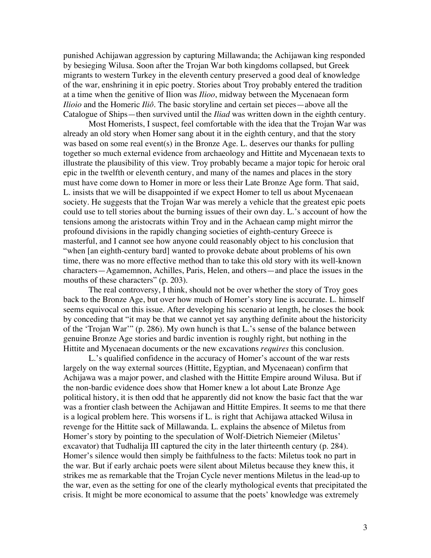punished Achijawan aggression by capturing Millawanda; the Achijawan king responded by besieging Wilusa. Soon after the Trojan War both kingdoms collapsed, but Greek migrants to western Turkey in the eleventh century preserved a good deal of knowledge of the war, enshrining it in epic poetry. Stories about Troy probably entered the tradition at a time when the genitive of Ilion was *Ilioo*, midway between the Mycenaean form *Ilioio* and the Homeric *Iliô*. The basic storyline and certain set pieces—above all the Catalogue of Ships—then survived until the *Iliad* was written down in the eighth century.

Most Homerists, I suspect, feel comfortable with the idea that the Trojan War was already an old story when Homer sang about it in the eighth century, and that the story was based on some real event(s) in the Bronze Age. L. deserves our thanks for pulling together so much external evidence from archaeology and Hittite and Mycenaean texts to illustrate the plausibility of this view. Troy probably became a major topic for heroic oral epic in the twelfth or eleventh century, and many of the names and places in the story must have come down to Homer in more or less their Late Bronze Age form. That said, L. insists that we will be disappointed if we expect Homer to tell us about Mycenaean society. He suggests that the Trojan War was merely a vehicle that the greatest epic poets could use to tell stories about the burning issues of their own day. L.'s account of how the tensions among the aristocrats within Troy and in the Achaean camp might mirror the profound divisions in the rapidly changing societies of eighth-century Greece is masterful, and I cannot see how anyone could reasonably object to his conclusion that "when [an eighth-century bard] wanted to provoke debate about problems of his own time, there was no more effective method than to take this old story with its well-known characters—Agamemnon, Achilles, Paris, Helen, and others—and place the issues in the mouths of these characters" (p. 203).

The real controversy, I think, should not be over whether the story of Troy goes back to the Bronze Age, but over how much of Homer's story line is accurate. L. himself seems equivocal on this issue. After developing his scenario at length, he closes the book by conceding that "it may be that we cannot yet say anything definite about the historicity of the 'Trojan War'" (p. 286). My own hunch is that L.'s sense of the balance between genuine Bronze Age stories and bardic invention is roughly right, but nothing in the Hittite and Mycenaean documents or the new excavations *requires* this conclusion.

L.'s qualified confidence in the accuracy of Homer's account of the war rests largely on the way external sources (Hittite, Egyptian, and Mycenaean) confirm that Achijawa was a major power, and clashed with the Hittite Empire around Wilusa. But if the non-bardic evidence does show that Homer knew a lot about Late Bronze Age political history, it is then odd that he apparently did not know the basic fact that the war was a frontier clash between the Achijawan and Hittite Empires. It seems to me that there is a logical problem here. This worsens if L. is right that Achijawa attacked Wilusa in revenge for the Hittite sack of Millawanda. L. explains the absence of Miletus from Homer's story by pointing to the speculation of Wolf-Dietrich Niemeier (Miletus' excavator) that Tudhalija III captured the city in the later thirteenth century (p. 284). Homer's silence would then simply be faithfulness to the facts: Miletus took no part in the war. But if early archaic poets were silent about Miletus because they knew this, it strikes me as remarkable that the Trojan Cycle never mentions Miletus in the lead-up to the war, even as the setting for one of the clearly mythological events that precipitated the crisis. It might be more economical to assume that the poets' knowledge was extremely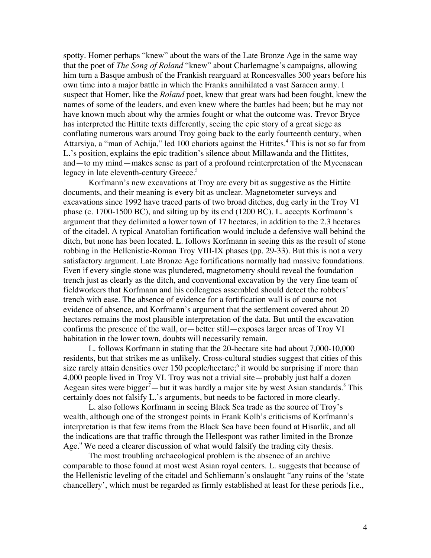spotty. Homer perhaps "knew" about the wars of the Late Bronze Age in the same way that the poet of *The Song of Roland* "knew" about Charlemagne's campaigns, allowing him turn a Basque ambush of the Frankish rearguard at Roncesvalles 300 years before his own time into a major battle in which the Franks annihilated a vast Saracen army. I suspect that Homer, like the *Roland* poet, knew that great wars had been fought, knew the names of some of the leaders, and even knew where the battles had been; but he may not have known much about why the armies fought or what the outcome was. Trevor Bryce has interpreted the Hittite texts differently, seeing the epic story of a great siege as conflating numerous wars around Troy going back to the early fourteenth century, when Attarsiya, a "man of Achija," led 100 chariots against the Hittites.<sup>4</sup> This is not so far from L.'s position, explains the epic tradition's silence about Millawanda and the Hittites, and—to my mind—makes sense as part of a profound reinterpretation of the Mycenaean legacy in late eleventh-century Greece.<sup>5</sup>

Korfmann's new excavations at Troy are every bit as suggestive as the Hittite documents, and their meaning is every bit as unclear. Magnetometer surveys and excavations since 1992 have traced parts of two broad ditches, dug early in the Troy VI phase (c. 1700-1500 BC), and silting up by its end (1200 BC). L. accepts Korfmann's argument that they delimited a lower town of 17 hectares, in addition to the 2.3 hectares of the citadel. A typical Anatolian fortification would include a defensive wall behind the ditch, but none has been located. L. follows Korfmann in seeing this as the result of stone robbing in the Hellenistic-Roman Troy VIII-IX phases (pp. 29-33). But this is not a very satisfactory argument. Late Bronze Age fortifications normally had massive foundations. Even if every single stone was plundered, magnetometry should reveal the foundation trench just as clearly as the ditch, and conventional excavation by the very fine team of fieldworkers that Korfmann and his colleagues assembled should detect the robbers' trench with ease. The absence of evidence for a fortification wall is of course not evidence of absence, and Korfmann's argument that the settlement covered about 20 hectares remains the most plausible interpretation of the data. But until the excavation confirms the presence of the wall, or—better still—exposes larger areas of Troy VI habitation in the lower town, doubts will necessarily remain.

L. follows Korfmann in stating that the 20-hectare site had about 7,000-10,000 residents, but that strikes me as unlikely. Cross-cultural studies suggest that cities of this size rarely attain densities over 150 people/hectare;<sup>6</sup> it would be surprising if more than 4,000 people lived in Troy VI. Troy was not a trivial site—probably just half a dozen Aegean sites were bigger<sup>7</sup>—but it was hardly a major site by west Asian standards.<sup>8</sup> This certainly does not falsify L.'s arguments, but needs to be factored in more clearly.

L. also follows Korfmann in seeing Black Sea trade as the source of Troy's wealth, although one of the strongest points in Frank Kolb's criticisms of Korfmann's interpretation is that few items from the Black Sea have been found at Hisarlik, and all the indications are that traffic through the Hellespont was rather limited in the Bronze Age.<sup>9</sup> We need a clearer discussion of what would falsify the trading city thesis.

The most troubling archaeological problem is the absence of an archive comparable to those found at most west Asian royal centers. L. suggests that because of the Hellenistic leveling of the citadel and Schliemann's onslaught "any ruins of the 'state chancellery', which must be regarded as firmly established at least for these periods [i.e.,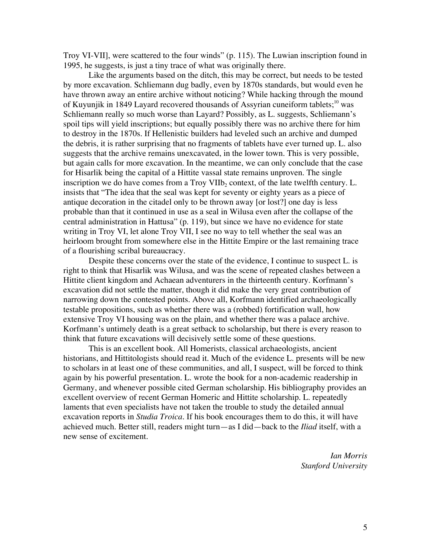Troy VI-VII], were scattered to the four winds" (p. 115). The Luwian inscription found in 1995, he suggests, is just a tiny trace of what was originally there.

Like the arguments based on the ditch, this may be correct, but needs to be tested by more excavation. Schliemann dug badly, even by 1870s standards, but would even he have thrown away an entire archive without noticing? While hacking through the mound of Kuyunjik in 1849 Layard recovered thousands of Assyrian cuneiform tablets;<sup>10</sup> was Schliemann really so much worse than Layard? Possibly, as L. suggests, Schliemann's spoil tips will yield inscriptions; but equally possibly there was no archive there for him to destroy in the 1870s. If Hellenistic builders had leveled such an archive and dumped the debris, it is rather surprising that no fragments of tablets have ever turned up. L. also suggests that the archive remains unexcavated, in the lower town. This is very possible, but again calls for more excavation. In the meantime, we can only conclude that the case for Hisarlik being the capital of a Hittite vassal state remains unproven. The single inscription we do have comes from a Troy VIIb, context, of the late twelfth century. L. insists that "The idea that the seal was kept for seventy or eighty years as a piece of antique decoration in the citadel only to be thrown away [or lost?] one day is less probable than that it continued in use as a seal in Wilusa even after the collapse of the central administration in Hattusa" (p. 119), but since we have no evidence for state writing in Troy VI, let alone Troy VII, I see no way to tell whether the seal was an heirloom brought from somewhere else in the Hittite Empire or the last remaining trace of a flourishing scribal bureaucracy.

Despite these concerns over the state of the evidence, I continue to suspect L. is right to think that Hisarlik was Wilusa, and was the scene of repeated clashes between a Hittite client kingdom and Achaean adventurers in the thirteenth century. Korfmann's excavation did not settle the matter, though it did make the very great contribution of narrowing down the contested points. Above all, Korfmann identified archaeologically testable propositions, such as whether there was a (robbed) fortification wall, how extensive Troy VI housing was on the plain, and whether there was a palace archive. Korfmann's untimely death is a great setback to scholarship, but there is every reason to think that future excavations will decisively settle some of these questions.

This is an excellent book. All Homerists, classical archaeologists, ancient historians, and Hittitologists should read it. Much of the evidence L. presents will be new to scholars in at least one of these communities, and all, I suspect, will be forced to think again by his powerful presentation. L. wrote the book for a non-academic readership in Germany, and whenever possible cited German scholarship. His bibliography provides an excellent overview of recent German Homeric and Hittite scholarship. L. repeatedly laments that even specialists have not taken the trouble to study the detailed annual excavation reports in *Studia Troica*. If his book encourages them to do this, it will have achieved much. Better still, readers might turn—as I did—back to the *Iliad* itself, with a new sense of excitement.

> *Ian Morris Stanford University*